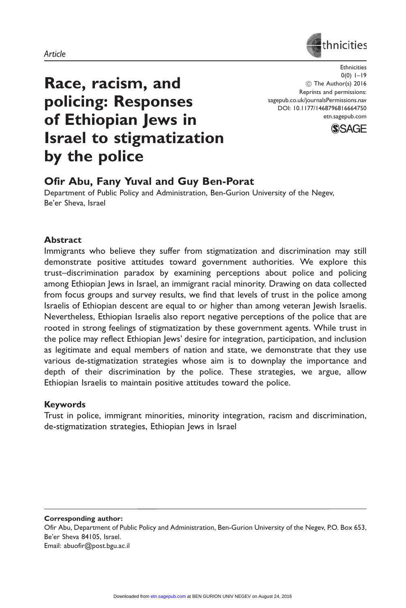

# Race, racism, and policing: Responses of Ethiopian Jews in Israel to stigmatization by the police

Ethnicities  $0(0)$  1–19 (C) The Author(s) 2016 Reprints and permissions: sagepub.co.uk/journalsPermissions.nav DOI: 10.1177/1468796816664750 etn.sagepub.com



# Ofir Abu, Fany Yuval and Guy Ben-Porat

Department of Public Policy and Administration, Ben-Gurion University of the Negev, Be'er Sheva, Israel

### Abstract

Immigrants who believe they suffer from stigmatization and discrimination may still demonstrate positive attitudes toward government authorities. We explore this trust–discrimination paradox by examining perceptions about police and policing among Ethiopian Jews in Israel, an immigrant racial minority. Drawing on data collected from focus groups and survey results, we find that levels of trust in the police among Israelis of Ethiopian descent are equal to or higher than among veteran Jewish Israelis. Nevertheless, Ethiopian Israelis also report negative perceptions of the police that are rooted in strong feelings of stigmatization by these government agents. While trust in the police may reflect Ethiopian Jews' desire for integration, participation, and inclusion as legitimate and equal members of nation and state, we demonstrate that they use various de-stigmatization strategies whose aim is to downplay the importance and depth of their discrimination by the police. These strategies, we argue, allow Ethiopian Israelis to maintain positive attitudes toward the police.

### Keywords

Trust in police, immigrant minorities, minority integration, racism and discrimination, de-stigmatization strategies, Ethiopian Jews in Israel

Corresponding author:

Ofir Abu, Department of Public Policy and Administration, Ben-Gurion University of the Negev, P.O. Box 653, Be'er Sheva 84105, Israel. Email: abuofir@post.bgu.ac.il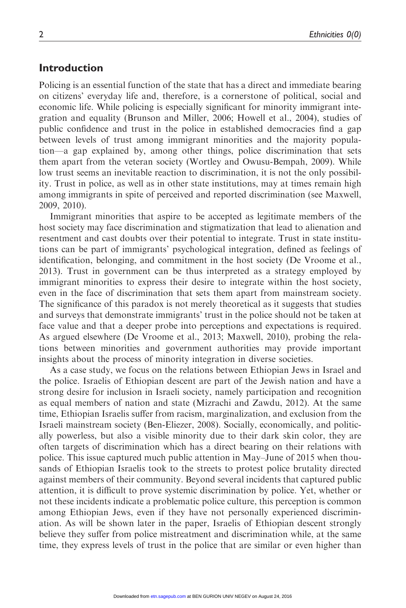# Introduction

Policing is an essential function of the state that has a direct and immediate bearing on citizens' everyday life and, therefore, is a cornerstone of political, social and economic life. While policing is especially significant for minority immigrant integration and equality (Brunson and Miller, 2006; Howell et al., 2004), studies of public confidence and trust in the police in established democracies find a gap between levels of trust among immigrant minorities and the majority population—a gap explained by, among other things, police discrimination that sets them apart from the veteran society (Wortley and Owusu-Bempah, 2009). While low trust seems an inevitable reaction to discrimination, it is not the only possibility. Trust in police, as well as in other state institutions, may at times remain high among immigrants in spite of perceived and reported discrimination (see Maxwell, 2009, 2010).

Immigrant minorities that aspire to be accepted as legitimate members of the host society may face discrimination and stigmatization that lead to alienation and resentment and cast doubts over their potential to integrate. Trust in state institutions can be part of immigrants' psychological integration, defined as feelings of identification, belonging, and commitment in the host society (De Vroome et al., 2013). Trust in government can be thus interpreted as a strategy employed by immigrant minorities to express their desire to integrate within the host society, even in the face of discrimination that sets them apart from mainstream society. The significance of this paradox is not merely theoretical as it suggests that studies and surveys that demonstrate immigrants' trust in the police should not be taken at face value and that a deeper probe into perceptions and expectations is required. As argued elsewhere (De Vroome et al., 2013; Maxwell, 2010), probing the relations between minorities and government authorities may provide important insights about the process of minority integration in diverse societies.

As a case study, we focus on the relations between Ethiopian Jews in Israel and the police. Israelis of Ethiopian descent are part of the Jewish nation and have a strong desire for inclusion in Israeli society, namely participation and recognition as equal members of nation and state (Mizrachi and Zawdu, 2012). At the same time, Ethiopian Israelis suffer from racism, marginalization, and exclusion from the Israeli mainstream society (Ben-Eliezer, 2008). Socially, economically, and politically powerless, but also a visible minority due to their dark skin color, they are often targets of discrimination which has a direct bearing on their relations with police. This issue captured much public attention in May–June of 2015 when thousands of Ethiopian Israelis took to the streets to protest police brutality directed against members of their community. Beyond several incidents that captured public attention, it is difficult to prove systemic discrimination by police. Yet, whether or not these incidents indicate a problematic police culture, this perception is common among Ethiopian Jews, even if they have not personally experienced discrimination. As will be shown later in the paper, Israelis of Ethiopian descent strongly believe they suffer from police mistreatment and discrimination while, at the same time, they express levels of trust in the police that are similar or even higher than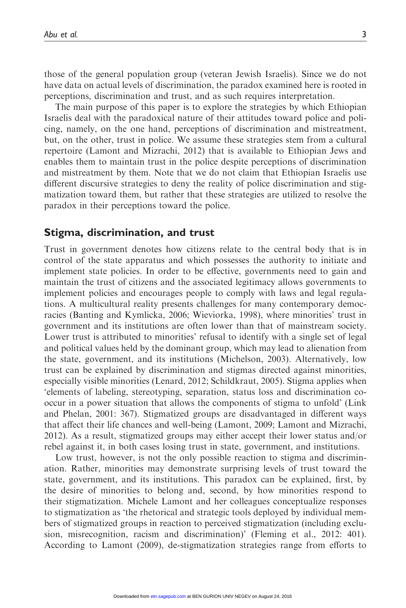those of the general population group (veteran Jewish Israelis). Since we do not have data on actual levels of discrimination, the paradox examined here is rooted in perceptions, discrimination and trust, and as such requires interpretation.

The main purpose of this paper is to explore the strategies by which Ethiopian Israelis deal with the paradoxical nature of their attitudes toward police and policing, namely, on the one hand, perceptions of discrimination and mistreatment, but, on the other, trust in police. We assume these strategies stem from a cultural repertoire (Lamont and Mizrachi, 2012) that is available to Ethiopian Jews and enables them to maintain trust in the police despite perceptions of discrimination and mistreatment by them. Note that we do not claim that Ethiopian Israelis use different discursive strategies to deny the reality of police discrimination and stigmatization toward them, but rather that these strategies are utilized to resolve the paradox in their perceptions toward the police.

### Stigma, discrimination, and trust

Trust in government denotes how citizens relate to the central body that is in control of the state apparatus and which possesses the authority to initiate and implement state policies. In order to be effective, governments need to gain and maintain the trust of citizens and the associated legitimacy allows governments to implement policies and encourages people to comply with laws and legal regulations. A multicultural reality presents challenges for many contemporary democracies (Banting and Kymlicka, 2006; Wieviorka, 1998), where minorities' trust in government and its institutions are often lower than that of mainstream society. Lower trust is attributed to minorities' refusal to identify with a single set of legal and political values held by the dominant group, which may lead to alienation from the state, government, and its institutions (Michelson, 2003). Alternatively, low trust can be explained by discrimination and stigmas directed against minorities, especially visible minorities (Lenard, 2012; Schildkraut, 2005). Stigma applies when 'elements of labeling, stereotyping, separation, status loss and discrimination cooccur in a power situation that allows the components of stigma to unfold' (Link and Phelan, 2001: 367). Stigmatized groups are disadvantaged in different ways that affect their life chances and well-being (Lamont, 2009; Lamont and Mizrachi, 2012). As a result, stigmatized groups may either accept their lower status and/or rebel against it, in both cases losing trust in state, government, and institutions.

Low trust, however, is not the only possible reaction to stigma and discrimination. Rather, minorities may demonstrate surprising levels of trust toward the state, government, and its institutions. This paradox can be explained, first, by the desire of minorities to belong and, second, by how minorities respond to their stigmatization. Michele Lamont and her colleagues conceptualize responses to stigmatization as 'the rhetorical and strategic tools deployed by individual members of stigmatized groups in reaction to perceived stigmatization (including exclusion, misrecognition, racism and discrimination)' (Fleming et al., 2012: 401). According to Lamont (2009), de-stigmatization strategies range from efforts to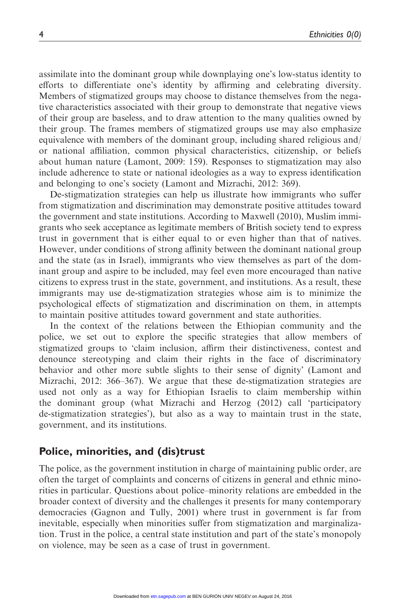assimilate into the dominant group while downplaying one's low-status identity to efforts to differentiate one's identity by affirming and celebrating diversity. Members of stigmatized groups may choose to distance themselves from the negative characteristics associated with their group to demonstrate that negative views of their group are baseless, and to draw attention to the many qualities owned by their group. The frames members of stigmatized groups use may also emphasize equivalence with members of the dominant group, including shared religious and/ or national affiliation, common physical characteristics, citizenship, or beliefs about human nature (Lamont, 2009: 159). Responses to stigmatization may also include adherence to state or national ideologies as a way to express identification and belonging to one's society (Lamont and Mizrachi, 2012: 369).

De-stigmatization strategies can help us illustrate how immigrants who suffer from stigmatization and discrimination may demonstrate positive attitudes toward the government and state institutions. According to Maxwell (2010), Muslim immigrants who seek acceptance as legitimate members of British society tend to express trust in government that is either equal to or even higher than that of natives. However, under conditions of strong affinity between the dominant national group and the state (as in Israel), immigrants who view themselves as part of the dominant group and aspire to be included, may feel even more encouraged than native citizens to express trust in the state, government, and institutions. As a result, these immigrants may use de-stigmatization strategies whose aim is to minimize the psychological effects of stigmatization and discrimination on them, in attempts to maintain positive attitudes toward government and state authorities.

In the context of the relations between the Ethiopian community and the police, we set out to explore the specific strategies that allow members of stigmatized groups to 'claim inclusion, affirm their distinctiveness, contest and denounce stereotyping and claim their rights in the face of discriminatory behavior and other more subtle slights to their sense of dignity' (Lamont and Mizrachi, 2012: 366–367). We argue that these de-stigmatization strategies are used not only as a way for Ethiopian Israelis to claim membership within the dominant group (what Mizrachi and Herzog (2012) call 'participatory de-stigmatization strategies'), but also as a way to maintain trust in the state, government, and its institutions.

### Police, minorities, and (dis)trust

The police, as the government institution in charge of maintaining public order, are often the target of complaints and concerns of citizens in general and ethnic minorities in particular. Questions about police–minority relations are embedded in the broader context of diversity and the challenges it presents for many contemporary democracies (Gagnon and Tully, 2001) where trust in government is far from inevitable, especially when minorities suffer from stigmatization and marginalization. Trust in the police, a central state institution and part of the state's monopoly on violence, may be seen as a case of trust in government.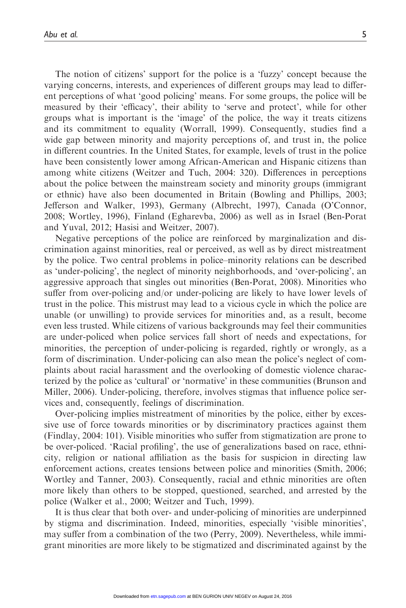The notion of citizens' support for the police is a 'fuzzy' concept because the varying concerns, interests, and experiences of different groups may lead to different perceptions of what 'good policing' means. For some groups, the police will be measured by their 'efficacy', their ability to 'serve and protect', while for other groups what is important is the 'image' of the police, the way it treats citizens and its commitment to equality (Worrall, 1999). Consequently, studies find a wide gap between minority and majority perceptions of, and trust in, the police in different countries. In the United States, for example, levels of trust in the police have been consistently lower among African-American and Hispanic citizens than among white citizens (Weitzer and Tuch, 2004: 320). Differences in perceptions about the police between the mainstream society and minority groups (immigrant or ethnic) have also been documented in Britain (Bowling and Phillips, 2003; Jefferson and Walker, 1993), Germany (Albrecht, 1997), Canada (O'Connor, 2008; Wortley, 1996), Finland (Egharevba, 2006) as well as in Israel (Ben-Porat and Yuval, 2012; Hasisi and Weitzer, 2007).

Negative perceptions of the police are reinforced by marginalization and discrimination against minorities, real or perceived, as well as by direct mistreatment by the police. Two central problems in police–minority relations can be described as 'under-policing', the neglect of minority neighborhoods, and 'over-policing', an aggressive approach that singles out minorities (Ben-Porat, 2008). Minorities who suffer from over-policing and/or under-policing are likely to have lower levels of trust in the police. This mistrust may lead to a vicious cycle in which the police are unable (or unwilling) to provide services for minorities and, as a result, become even less trusted. While citizens of various backgrounds may feel their communities are under-policed when police services fall short of needs and expectations, for minorities, the perception of under-policing is regarded, rightly or wrongly, as a form of discrimination. Under-policing can also mean the police's neglect of complaints about racial harassment and the overlooking of domestic violence characterized by the police as 'cultural' or 'normative' in these communities (Brunson and Miller, 2006). Under-policing, therefore, involves stigmas that influence police services and, consequently, feelings of discrimination.

Over-policing implies mistreatment of minorities by the police, either by excessive use of force towards minorities or by discriminatory practices against them (Findlay, 2004: 101). Visible minorities who suffer from stigmatization are prone to be over-policed. 'Racial profiling', the use of generalizations based on race, ethnicity, religion or national affiliation as the basis for suspicion in directing law enforcement actions, creates tensions between police and minorities (Smith, 2006; Wortley and Tanner, 2003). Consequently, racial and ethnic minorities are often more likely than others to be stopped, questioned, searched, and arrested by the police (Walker et al., 2000; Weitzer and Tuch, 1999).

It is thus clear that both over- and under-policing of minorities are underpinned by stigma and discrimination. Indeed, minorities, especially 'visible minorities', may suffer from a combination of the two (Perry, 2009). Nevertheless, while immigrant minorities are more likely to be stigmatized and discriminated against by the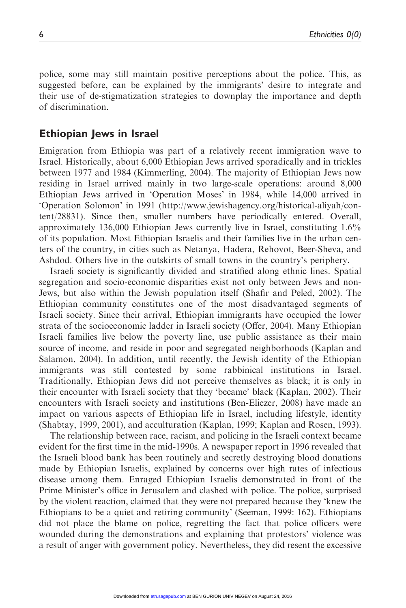police, some may still maintain positive perceptions about the police. This, as suggested before, can be explained by the immigrants' desire to integrate and their use of de-stigmatization strategies to downplay the importance and depth of discrimination.

## Ethiopian Jews in Israel

Emigration from Ethiopia was part of a relatively recent immigration wave to Israel. Historically, about 6,000 Ethiopian Jews arrived sporadically and in trickles between 1977 and 1984 (Kimmerling, 2004). The majority of Ethiopian Jews now residing in Israel arrived mainly in two large-scale operations: around 8,000 Ethiopian Jews arrived in 'Operation Moses' in 1984, while 14,000 arrived in 'Operation Solomon' in 1991 [\(http://www.jewishagency.org/historical-aliyah/con](http://www.jewishagency.org/historical-aliyah/content/28831)[tent/28831](http://www.jewishagency.org/historical-aliyah/content/28831)). Since then, smaller numbers have periodically entered. Overall, approximately 136,000 Ethiopian Jews currently live in Israel, constituting 1.6% of its population. Most Ethiopian Israelis and their families live in the urban centers of the country, in cities such as Netanya, Hadera, Rehovot, Beer-Sheva, and Ashdod. Others live in the outskirts of small towns in the country's periphery.

Israeli society is significantly divided and stratified along ethnic lines. Spatial segregation and socio-economic disparities exist not only between Jews and non-Jews, but also within the Jewish population itself (Shafir and Peled, 2002). The Ethiopian community constitutes one of the most disadvantaged segments of Israeli society. Since their arrival, Ethiopian immigrants have occupied the lower strata of the socioeconomic ladder in Israeli society (Offer, 2004). Many Ethiopian Israeli families live below the poverty line, use public assistance as their main source of income, and reside in poor and segregated neighborhoods (Kaplan and Salamon, 2004). In addition, until recently, the Jewish identity of the Ethiopian immigrants was still contested by some rabbinical institutions in Israel. Traditionally, Ethiopian Jews did not perceive themselves as black; it is only in their encounter with Israeli society that they 'became' black (Kaplan, 2002). Their encounters with Israeli society and institutions (Ben-Eliezer, 2008) have made an impact on various aspects of Ethiopian life in Israel, including lifestyle, identity (Shabtay, 1999, 2001), and acculturation (Kaplan, 1999; Kaplan and Rosen, 1993).

The relationship between race, racism, and policing in the Israeli context became evident for the first time in the mid-1990s. A newspaper report in 1996 revealed that the Israeli blood bank has been routinely and secretly destroying blood donations made by Ethiopian Israelis, explained by concerns over high rates of infectious disease among them. Enraged Ethiopian Israelis demonstrated in front of the Prime Minister's office in Jerusalem and clashed with police. The police, surprised by the violent reaction, claimed that they were not prepared because they 'knew the Ethiopians to be a quiet and retiring community' (Seeman, 1999: 162). Ethiopians did not place the blame on police, regretting the fact that police officers were wounded during the demonstrations and explaining that protestors' violence was a result of anger with government policy. Nevertheless, they did resent the excessive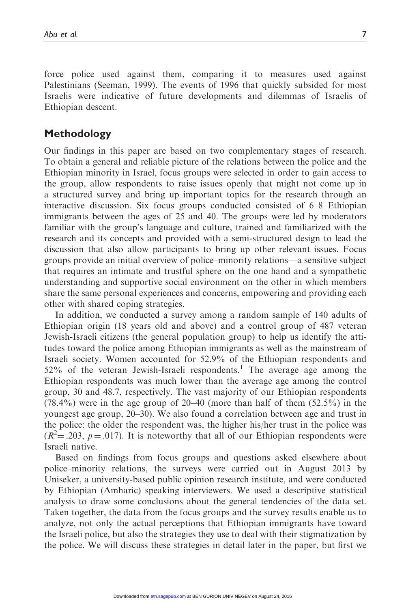force police used against them, comparing it to measures used against Palestinians (Seeman, 1999). The events of 1996 that quickly subsided for most Israelis were indicative of future developments and dilemmas of Israelis of Ethiopian descent.

# Methodology

Our findings in this paper are based on two complementary stages of research. To obtain a general and reliable picture of the relations between the police and the Ethiopian minority in Israel, focus groups were selected in order to gain access to the group, allow respondents to raise issues openly that might not come up in a structured survey and bring up important topics for the research through an interactive discussion. Six focus groups conducted consisted of 6–8 Ethiopian immigrants between the ages of 25 and 40. The groups were led by moderators familiar with the group's language and culture, trained and familiarized with the research and its concepts and provided with a semi-structured design to lead the discussion that also allow participants to bring up other relevant issues. Focus groups provide an initial overview of police–minority relations—a sensitive subject that requires an intimate and trustful sphere on the one hand and a sympathetic understanding and supportive social environment on the other in which members share the same personal experiences and concerns, empowering and providing each other with shared coping strategies.

In addition, we conducted a survey among a random sample of 140 adults of Ethiopian origin (18 years old and above) and a control group of 487 veteran Jewish-Israeli citizens (the general population group) to help us identify the attitudes toward the police among Ethiopian immigrants as well as the mainstream of Israeli society. Women accounted for 52.9% of the Ethiopian respondents and  $52\%$  of the veteran Jewish-Israeli respondents.<sup>1</sup> The average age among the Ethiopian respondents was much lower than the average age among the control group, 30 and 48.7, respectively. The vast majority of our Ethiopian respondents  $(78.4\%)$  were in the age group of 20–40 (more than half of them  $(52.5\%)$ ) in the youngest age group, 20–30). We also found a correlation between age and trust in the police: the older the respondent was, the higher his/her trust in the police was  $(R<sup>2</sup>=.203, p=.017)$ . It is noteworthy that all of our Ethiopian respondents were Israeli native.

Based on findings from focus groups and questions asked elsewhere about police–minority relations, the surveys were carried out in August 2013 by Uniseker, a university-based public opinion research institute, and were conducted by Ethiopian (Amharic) speaking interviewers. We used a descriptive statistical analysis to draw some conclusions about the general tendencies of the data set. Taken together, the data from the focus groups and the survey results enable us to analyze, not only the actual perceptions that Ethiopian immigrants have toward the Israeli police, but also the strategies they use to deal with their stigmatization by the police. We will discuss these strategies in detail later in the paper, but first we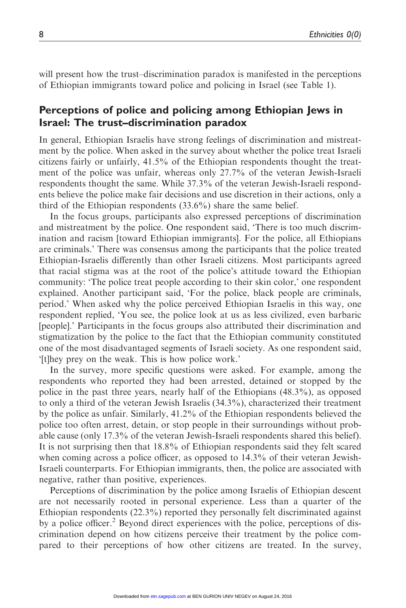will present how the trust–discrimination paradox is manifested in the perceptions of Ethiopian immigrants toward police and policing in Israel (see Table 1).

# Perceptions of police and policing among Ethiopian Jews in Israel: The trust–discrimination paradox

In general, Ethiopian Israelis have strong feelings of discrimination and mistreatment by the police. When asked in the survey about whether the police treat Israeli citizens fairly or unfairly, 41.5% of the Ethiopian respondents thought the treatment of the police was unfair, whereas only 27.7% of the veteran Jewish-Israeli respondents thought the same. While 37.3% of the veteran Jewish-Israeli respondents believe the police make fair decisions and use discretion in their actions, only a third of the Ethiopian respondents (33.6%) share the same belief.

In the focus groups, participants also expressed perceptions of discrimination and mistreatment by the police. One respondent said, 'There is too much discrimination and racism [toward Ethiopian immigrants]. For the police, all Ethiopians are criminals.' There was consensus among the participants that the police treated Ethiopian-Israelis differently than other Israeli citizens. Most participants agreed that racial stigma was at the root of the police's attitude toward the Ethiopian community: 'The police treat people according to their skin color,' one respondent explained. Another participant said, 'For the police, black people are criminals, period.' When asked why the police perceived Ethiopian Israelis in this way, one respondent replied, 'You see, the police look at us as less civilized, even barbaric [people].' Participants in the focus groups also attributed their discrimination and stigmatization by the police to the fact that the Ethiopian community constituted one of the most disadvantaged segments of Israeli society. As one respondent said, '[t]hey prey on the weak. This is how police work.'

In the survey, more specific questions were asked. For example, among the respondents who reported they had been arrested, detained or stopped by the police in the past three years, nearly half of the Ethiopians (48.3%), as opposed to only a third of the veteran Jewish Israelis (34.3%), characterized their treatment by the police as unfair. Similarly, 41.2% of the Ethiopian respondents believed the police too often arrest, detain, or stop people in their surroundings without probable cause (only 17.3% of the veteran Jewish-Israeli respondents shared this belief). It is not surprising then that 18.8% of Ethiopian respondents said they felt scared when coming across a police officer, as opposed to 14.3% of their veteran Jewish-Israeli counterparts. For Ethiopian immigrants, then, the police are associated with negative, rather than positive, experiences.

Perceptions of discrimination by the police among Israelis of Ethiopian descent are not necessarily rooted in personal experience. Less than a quarter of the Ethiopian respondents (22.3%) reported they personally felt discriminated against by a police officer.<sup>2</sup> Beyond direct experiences with the police, perceptions of discrimination depend on how citizens perceive their treatment by the police compared to their perceptions of how other citizens are treated. In the survey,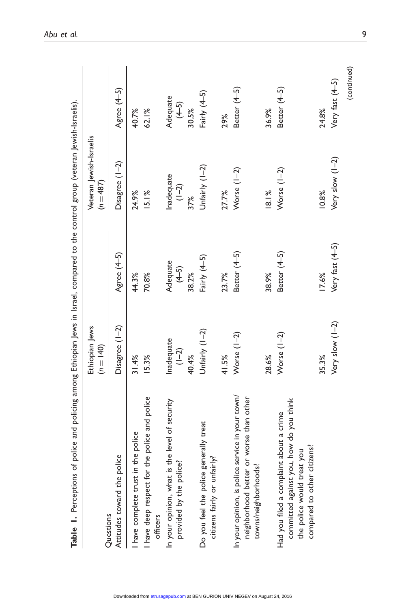| of police and policing among Ethiopian Jews in Israel, compared to the control group (veteran Jewish-Israelis).<br>Table 1. Perceptions            |                               |                     |                                        |                     |
|----------------------------------------------------------------------------------------------------------------------------------------------------|-------------------------------|---------------------|----------------------------------------|---------------------|
| Questions                                                                                                                                          | Ethiopian Jews<br>$(n = 140)$ |                     | Veteran Jewish-Israelis<br>$(n = 487)$ |                     |
| police<br>Attitudes toward the                                                                                                                     | Disagree (1-2)                | Agree (4-5)         | $Disagree (1-2)$                       | Agree (4-5)         |
| in the police<br>I have complete trust                                                                                                             | 31.4%                         | 44.3%               | 24.9%                                  | 40.7%               |
| r the police and police<br>I have deep respect for<br>officers                                                                                     | 15.3%                         | 70.8%               | 15.1%                                  | 62.1%               |
| is the level of security<br>provided by the police?<br>In your opinion, what                                                                       | Inadequate<br>$(1 - 2)$       | Adequate<br>$(4-5)$ | Inadequate<br>$(1 - 2)$                | Adequate<br>$(4-5)$ |
|                                                                                                                                                    | 40.4%                         | 38.2%               | 37%                                    | 30.5%               |
| generally treat<br>citizens fairly or unfairly?<br>Do you feel the police                                                                          | Unfairly $(1-2)$              | Fairly (4-5)        | Unfairly $(1-2)$                       | Fairly $(4-5)$      |
|                                                                                                                                                    | 41.5%                         | 23.7%               | 27.7%                                  | 29%                 |
| In your opinion, is police service in your town/<br>neighborhood better or worse than other<br>towns/neighborhoods?                                | Worse $(1-2)$                 | Better (4-5)        | Worse $(1-2)$                          | Better (4-5)        |
|                                                                                                                                                    | 28.6%                         | 38.9%               | 18.1%                                  | 36.9%               |
| committed against you, how do you think<br>Had you filed a complaint about a crime<br>citizens?<br>the police would treat you<br>compared to other | Worse $(1-2)$                 | Better (4–5)        | Worse $(1-2)$                          | Better (4–5)        |
|                                                                                                                                                    | 35.3%                         | 17.6%               | 10.8%                                  | 24.8%               |
|                                                                                                                                                    | Very slow (1-2)               | Very fast (4-5)     | Very slow (1-2)                        | Very fast (4-5)     |
|                                                                                                                                                    |                               |                     |                                        | (continued)         |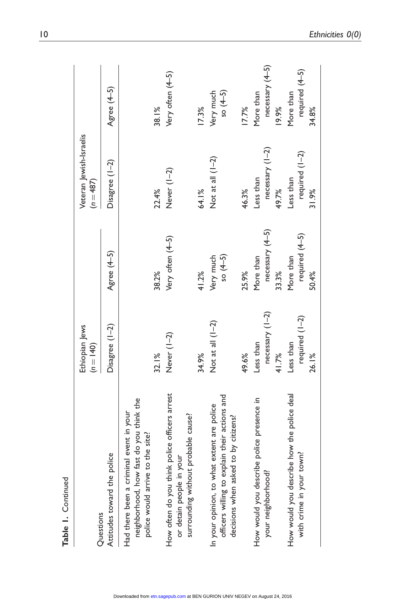| Table 1. Continued                                                                                                                  |                               |                            |                                        |                            |
|-------------------------------------------------------------------------------------------------------------------------------------|-------------------------------|----------------------------|----------------------------------------|----------------------------|
| Questions                                                                                                                           | Ethiopian Jews<br>$(n = 140)$ |                            | Veteran Jewish-Israelis<br>$(n = 487)$ |                            |
| police<br>Attitudes toward the                                                                                                      | $Disagree(1-2)$               | Agree (4-5)                | $Disagree(1-2)$                        | Agree (4-5)                |
| neighborhood, how fast do you think the<br>Had there been a criminal event in your<br>to the site?<br>police would arrive           |                               |                            |                                        |                            |
|                                                                                                                                     | 32.1%                         | 38.2%                      | 22.4%                                  | 38.1%                      |
| How often do you think police officers arrest<br>surrounding without probable cause?<br>or detain people in your                    | Never $(1-2)$                 | Very often (4–5)           | Never $(1-2)$                          | Very often (4–5)           |
|                                                                                                                                     | 34.9%                         | 41.2%                      | 64.1%                                  | 17.3%                      |
| officers willing to explain their actions and<br>In your opinion, to what extent are police<br>decisions when asked to by citizens? | Not at all $(1-2)$            | $(4-5)$<br>Very much       | Not at all $(1-2)$                     | $(4-5)$<br>Very much       |
|                                                                                                                                     | 49.6%                         | 25.9%                      | 46.3%                                  | 17.7%                      |
| How would you describe police presence in                                                                                           | Less than                     | More than                  | Less than                              | More than                  |
| your neighborhood?                                                                                                                  | necessary $(1-2)$<br>41.7%    | necessary $(4-5)$<br>33.3% | necessary $(1-2)$<br>49.7%             | necessary $(4-5)$<br>19.9% |
| How would you describe how the police deal                                                                                          | Less than                     | More than                  | Less than                              | More than                  |
| town?<br>with crime in your                                                                                                         | required (1-2)<br>26.1%       | required (4-5)<br>50.4%    | required (1-2)<br>31.9%                | required (4-5)<br>34.8%    |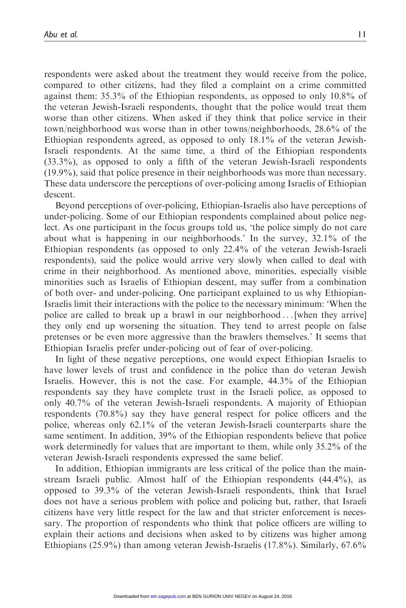respondents were asked about the treatment they would receive from the police, compared to other citizens, had they filed a complaint on a crime committed against them: 35.3% of the Ethiopian respondents, as opposed to only 10.8% of the veteran Jewish-Israeli respondents, thought that the police would treat them worse than other citizens. When asked if they think that police service in their town/neighborhood was worse than in other towns/neighborhoods, 28.6% of the Ethiopian respondents agreed, as opposed to only 18.1% of the veteran Jewish-Israeli respondents. At the same time, a third of the Ethiopian respondents (33.3%), as opposed to only a fifth of the veteran Jewish-Israeli respondents (19.9%), said that police presence in their neighborhoods was more than necessary. These data underscore the perceptions of over-policing among Israelis of Ethiopian descent.

Beyond perceptions of over-policing, Ethiopian-Israelis also have perceptions of under-policing. Some of our Ethiopian respondents complained about police neglect. As one participant in the focus groups told us, 'the police simply do not care about what is happening in our neighborhoods.' In the survey, 32.1% of the Ethiopian respondents (as opposed to only 22.4% of the veteran Jewish-Israeli respondents), said the police would arrive very slowly when called to deal with crime in their neighborhood. As mentioned above, minorities, especially visible minorities such as Israelis of Ethiopian descent, may suffer from a combination of both over- and under-policing. One participant explained to us why Ethiopian-Israelis limit their interactions with the police to the necessary minimum: 'When the police are called to break up a brawl in our neighborhood ... [when they arrive] they only end up worsening the situation. They tend to arrest people on false pretenses or be even more aggressive than the brawlers themselves.' It seems that Ethiopian Israelis prefer under-policing out of fear of over-policing.

In light of these negative perceptions, one would expect Ethiopian Israelis to have lower levels of trust and confidence in the police than do veteran Jewish Israelis. However, this is not the case. For example, 44.3% of the Ethiopian respondents say they have complete trust in the Israeli police, as opposed to only 40.7% of the veteran Jewish-Israeli respondents. A majority of Ethiopian respondents (70.8%) say they have general respect for police officers and the police, whereas only 62.1% of the veteran Jewish-Israeli counterparts share the same sentiment. In addition, 39% of the Ethiopian respondents believe that police work determinedly for values that are important to them, while only 35.2% of the veteran Jewish-Israeli respondents expressed the same belief.

In addition, Ethiopian immigrants are less critical of the police than the mainstream Israeli public. Almost half of the Ethiopian respondents (44.4%), as opposed to 39.3% of the veteran Jewish-Israeli respondents, think that Israel does not have a serious problem with police and policing but, rather, that Israeli citizens have very little respect for the law and that stricter enforcement is necessary. The proportion of respondents who think that police officers are willing to explain their actions and decisions when asked to by citizens was higher among Ethiopians (25.9%) than among veteran Jewish-Israelis (17.8%). Similarly, 67.6%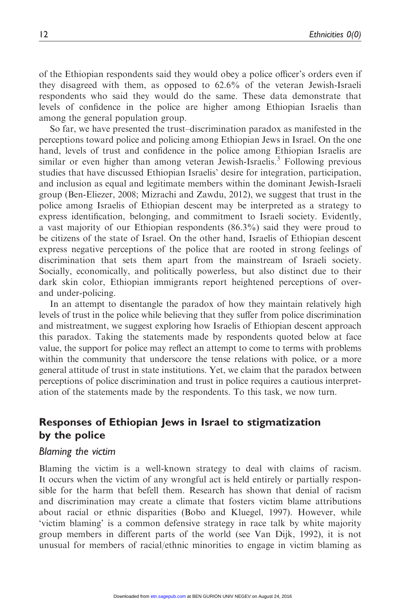of the Ethiopian respondents said they would obey a police officer's orders even if they disagreed with them, as opposed to 62.6% of the veteran Jewish-Israeli respondents who said they would do the same. These data demonstrate that levels of confidence in the police are higher among Ethiopian Israelis than among the general population group.

So far, we have presented the trust–discrimination paradox as manifested in the perceptions toward police and policing among Ethiopian Jews in Israel. On the one hand, levels of trust and confidence in the police among Ethiopian Israelis are similar or even higher than among veteran Jewish-Israelis.<sup>3</sup> Following previous studies that have discussed Ethiopian Israelis' desire for integration, participation, and inclusion as equal and legitimate members within the dominant Jewish-Israeli group (Ben-Eliezer, 2008; Mizrachi and Zawdu, 2012), we suggest that trust in the police among Israelis of Ethiopian descent may be interpreted as a strategy to express identification, belonging, and commitment to Israeli society. Evidently, a vast majority of our Ethiopian respondents (86.3%) said they were proud to be citizens of the state of Israel. On the other hand, Israelis of Ethiopian descent express negative perceptions of the police that are rooted in strong feelings of discrimination that sets them apart from the mainstream of Israeli society. Socially, economically, and politically powerless, but also distinct due to their dark skin color, Ethiopian immigrants report heightened perceptions of overand under-policing.

In an attempt to disentangle the paradox of how they maintain relatively high levels of trust in the police while believing that they suffer from police discrimination and mistreatment, we suggest exploring how Israelis of Ethiopian descent approach this paradox. Taking the statements made by respondents quoted below at face value, the support for police may reflect an attempt to come to terms with problems within the community that underscore the tense relations with police, or a more general attitude of trust in state institutions. Yet, we claim that the paradox between perceptions of police discrimination and trust in police requires a cautious interpretation of the statements made by the respondents. To this task, we now turn.

# Responses of Ethiopian Jews in Israel to stigmatization by the police

#### Blaming the victim

Blaming the victim is a well-known strategy to deal with claims of racism. It occurs when the victim of any wrongful act is held entirely or partially responsible for the harm that befell them. Research has shown that denial of racism and discrimination may create a climate that fosters victim blame attributions about racial or ethnic disparities (Bobo and Kluegel, 1997). However, while 'victim blaming' is a common defensive strategy in race talk by white majority group members in different parts of the world (see Van Dijk, 1992), it is not unusual for members of racial/ethnic minorities to engage in victim blaming as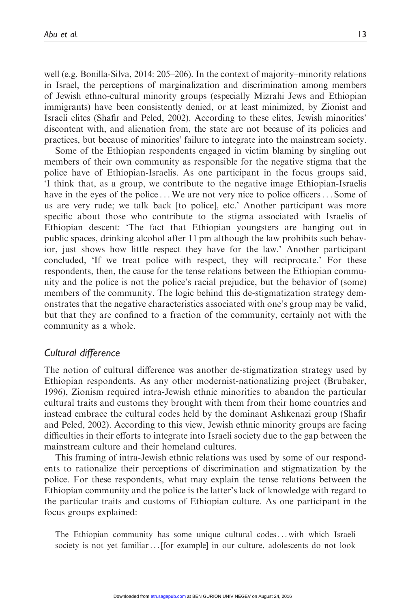well (e.g. Bonilla-Silva, 2014: 205–206). In the context of majority–minority relations in Israel, the perceptions of marginalization and discrimination among members of Jewish ethno-cultural minority groups (especially Mizrahi Jews and Ethiopian immigrants) have been consistently denied, or at least minimized, by Zionist and Israeli elites (Shafir and Peled, 2002). According to these elites, Jewish minorities' discontent with, and alienation from, the state are not because of its policies and practices, but because of minorities' failure to integrate into the mainstream society.

Some of the Ethiopian respondents engaged in victim blaming by singling out members of their own community as responsible for the negative stigma that the police have of Ethiopian-Israelis. As one participant in the focus groups said, 'I think that, as a group, we contribute to the negative image Ethiopian-Israelis have in the eyes of the police ... We are not very nice to police officers... Some of us are very rude; we talk back [to police], etc.' Another participant was more specific about those who contribute to the stigma associated with Israelis of Ethiopian descent: 'The fact that Ethiopian youngsters are hanging out in public spaces, drinking alcohol after 11 pm although the law prohibits such behavior, just shows how little respect they have for the law.' Another participant concluded, 'If we treat police with respect, they will reciprocate.' For these respondents, then, the cause for the tense relations between the Ethiopian community and the police is not the police's racial prejudice, but the behavior of (some) members of the community. The logic behind this de-stigmatization strategy demonstrates that the negative characteristics associated with one's group may be valid, but that they are confined to a fraction of the community, certainly not with the community as a whole.

### Cultural difference

The notion of cultural difference was another de-stigmatization strategy used by Ethiopian respondents. As any other modernist-nationalizing project (Brubaker, 1996), Zionism required intra-Jewish ethnic minorities to abandon the particular cultural traits and customs they brought with them from their home countries and instead embrace the cultural codes held by the dominant Ashkenazi group (Shafir and Peled, 2002). According to this view, Jewish ethnic minority groups are facing difficulties in their efforts to integrate into Israeli society due to the gap between the mainstream culture and their homeland cultures.

This framing of intra-Jewish ethnic relations was used by some of our respondents to rationalize their perceptions of discrimination and stigmatization by the police. For these respondents, what may explain the tense relations between the Ethiopian community and the police is the latter's lack of knowledge with regard to the particular traits and customs of Ethiopian culture. As one participant in the focus groups explained:

The Ethiopian community has some unique cultural codes... with which Israeli society is not yet familiar... [for example] in our culture, adolescents do not look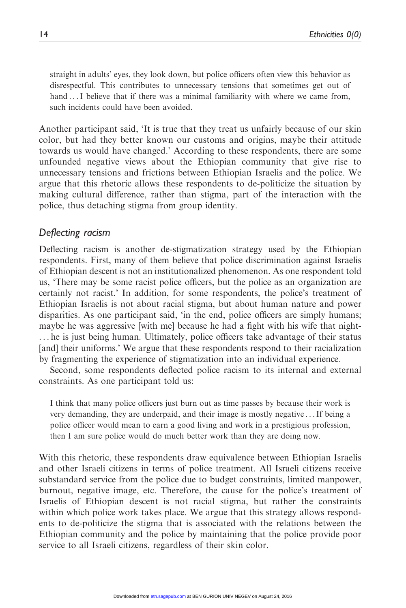straight in adults' eyes, they look down, but police officers often view this behavior as disrespectful. This contributes to unnecessary tensions that sometimes get out of hand ... I believe that if there was a minimal familiarity with where we came from, such incidents could have been avoided.

Another participant said, 'It is true that they treat us unfairly because of our skin color, but had they better known our customs and origins, maybe their attitude towards us would have changed.' According to these respondents, there are some unfounded negative views about the Ethiopian community that give rise to unnecessary tensions and frictions between Ethiopian Israelis and the police. We argue that this rhetoric allows these respondents to de-politicize the situation by making cultural difference, rather than stigma, part of the interaction with the police, thus detaching stigma from group identity.

### Deflecting racism

Deflecting racism is another de-stigmatization strategy used by the Ethiopian respondents. First, many of them believe that police discrimination against Israelis of Ethiopian descent is not an institutionalized phenomenon. As one respondent told us, 'There may be some racist police officers, but the police as an organization are certainly not racist.' In addition, for some respondents, the police's treatment of Ethiopian Israelis is not about racial stigma, but about human nature and power disparities. As one participant said, 'in the end, police officers are simply humans; maybe he was aggressive [with me] because he had a fight with his wife that night- ... he is just being human. Ultimately, police officers take advantage of their status [and] their uniforms.' We argue that these respondents respond to their racialization by fragmenting the experience of stigmatization into an individual experience.

Second, some respondents deflected police racism to its internal and external constraints. As one participant told us:

I think that many police officers just burn out as time passes by because their work is very demanding, they are underpaid, and their image is mostly negative ...If being a police officer would mean to earn a good living and work in a prestigious profession, then I am sure police would do much better work than they are doing now.

With this rhetoric, these respondents draw equivalence between Ethiopian Israelis and other Israeli citizens in terms of police treatment. All Israeli citizens receive substandard service from the police due to budget constraints, limited manpower, burnout, negative image, etc. Therefore, the cause for the police's treatment of Israelis of Ethiopian descent is not racial stigma, but rather the constraints within which police work takes place. We argue that this strategy allows respondents to de-politicize the stigma that is associated with the relations between the Ethiopian community and the police by maintaining that the police provide poor service to all Israeli citizens, regardless of their skin color.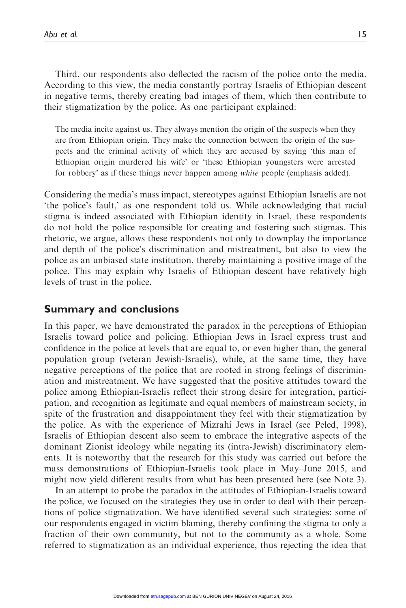Third, our respondents also deflected the racism of the police onto the media. According to this view, the media constantly portray Israelis of Ethiopian descent in negative terms, thereby creating bad images of them, which then contribute to their stigmatization by the police. As one participant explained:

The media incite against us. They always mention the origin of the suspects when they are from Ethiopian origin. They make the connection between the origin of the suspects and the criminal activity of which they are accused by saying 'this man of Ethiopian origin murdered his wife' or 'these Ethiopian youngsters were arrested for robbery' as if these things never happen among white people (emphasis added).

Considering the media's mass impact, stereotypes against Ethiopian Israelis are not 'the police's fault,' as one respondent told us. While acknowledging that racial stigma is indeed associated with Ethiopian identity in Israel, these respondents do not hold the police responsible for creating and fostering such stigmas. This rhetoric, we argue, allows these respondents not only to downplay the importance and depth of the police's discrimination and mistreatment, but also to view the police as an unbiased state institution, thereby maintaining a positive image of the police. This may explain why Israelis of Ethiopian descent have relatively high levels of trust in the police.

### Summary and conclusions

In this paper, we have demonstrated the paradox in the perceptions of Ethiopian Israelis toward police and policing. Ethiopian Jews in Israel express trust and confidence in the police at levels that are equal to, or even higher than, the general population group (veteran Jewish-Israelis), while, at the same time, they have negative perceptions of the police that are rooted in strong feelings of discrimination and mistreatment. We have suggested that the positive attitudes toward the police among Ethiopian-Israelis reflect their strong desire for integration, participation, and recognition as legitimate and equal members of mainstream society, in spite of the frustration and disappointment they feel with their stigmatization by the police. As with the experience of Mizrahi Jews in Israel (see Peled, 1998), Israelis of Ethiopian descent also seem to embrace the integrative aspects of the dominant Zionist ideology while negating its (intra-Jewish) discriminatory elements. It is noteworthy that the research for this study was carried out before the mass demonstrations of Ethiopian-Israelis took place in May–June 2015, and might now yield different results from what has been presented here (see Note 3).

In an attempt to probe the paradox in the attitudes of Ethiopian-Israelis toward the police, we focused on the strategies they use in order to deal with their perceptions of police stigmatization. We have identified several such strategies: some of our respondents engaged in victim blaming, thereby confining the stigma to only a fraction of their own community, but not to the community as a whole. Some referred to stigmatization as an individual experience, thus rejecting the idea that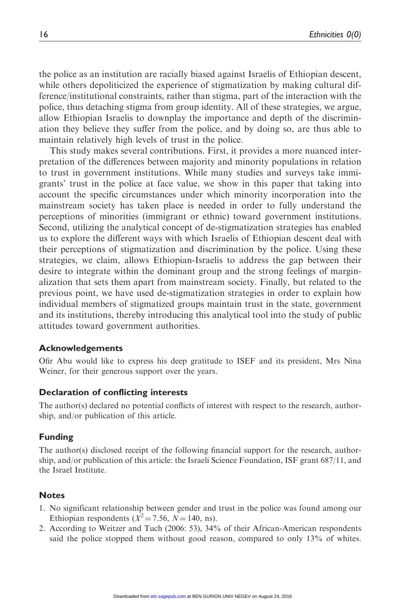the police as an institution are racially biased against Israelis of Ethiopian descent, while others depoliticized the experience of stigmatization by making cultural difference/institutional constraints, rather than stigma, part of the interaction with the police, thus detaching stigma from group identity. All of these strategies, we argue, allow Ethiopian Israelis to downplay the importance and depth of the discrimination they believe they suffer from the police, and by doing so, are thus able to maintain relatively high levels of trust in the police.

This study makes several contributions. First, it provides a more nuanced interpretation of the differences between majority and minority populations in relation to trust in government institutions. While many studies and surveys take immigrants' trust in the police at face value, we show in this paper that taking into account the specific circumstances under which minority incorporation into the mainstream society has taken place is needed in order to fully understand the perceptions of minorities (immigrant or ethnic) toward government institutions. Second, utilizing the analytical concept of de-stigmatization strategies has enabled us to explore the different ways with which Israelis of Ethiopian descent deal with their perceptions of stigmatization and discrimination by the police. Using these strategies, we claim, allows Ethiopian-Israelis to address the gap between their desire to integrate within the dominant group and the strong feelings of marginalization that sets them apart from mainstream society. Finally, but related to the previous point, we have used de-stigmatization strategies in order to explain how individual members of stigmatized groups maintain trust in the state, government and its institutions, thereby introducing this analytical tool into the study of public attitudes toward government authorities.

#### Acknowledgements

Ofir Abu would like to express his deep gratitude to ISEF and its president, Mrs Nina Weiner, for their generous support over the years.

#### Declaration of conflicting interests

The author(s) declared no potential conflicts of interest with respect to the research, authorship, and/or publication of this article.

#### Funding

The author(s) disclosed receipt of the following financial support for the research, authorship, and/or publication of this article: the Israeli Science Foundation, ISF grant 687/11, and the Israel Institute.

#### **Notes**

- 1. No significant relationship between gender and trust in the police was found among our Ethiopian respondents ( $X^2 = 7.56$ ,  $N = 140$ , ns).
- 2. According to Weitzer and Tuch (2006: 53), 34% of their African-American respondents said the police stopped them without good reason, compared to only 13% of whites.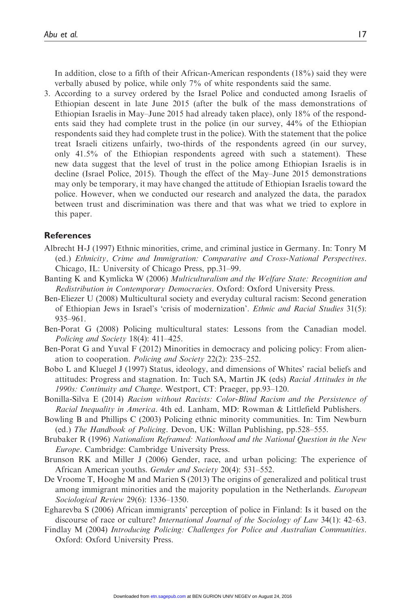In addition, close to a fifth of their African-American respondents (18%) said they were verbally abused by police, while only 7% of white respondents said the same.

3. According to a survey ordered by the Israel Police and conducted among Israelis of Ethiopian descent in late June 2015 (after the bulk of the mass demonstrations of Ethiopian Israelis in May–June 2015 had already taken place), only 18% of the respondents said they had complete trust in the police (in our survey, 44% of the Ethiopian respondents said they had complete trust in the police). With the statement that the police treat Israeli citizens unfairly, two-thirds of the respondents agreed (in our survey, only 41.5% of the Ethiopian respondents agreed with such a statement). These new data suggest that the level of trust in the police among Ethiopian Israelis is in decline (Israel Police, 2015). Though the effect of the May–June 2015 demonstrations may only be temporary, it may have changed the attitude of Ethiopian Israelis toward the police. However, when we conducted our research and analyzed the data, the paradox between trust and discrimination was there and that was what we tried to explore in this paper.

### References

- Albrecht H-J (1997) Ethnic minorities, crime, and criminal justice in Germany. In: Tonry M (ed.) Ethnicity, Crime and Immigration: Comparative and Cross-National Perspectives. Chicago, IL: University of Chicago Press, pp.31–99.
- Banting K and Kymlicka W (2006) Multiculturalism and the Welfare State: Recognition and Redistribution in Contemporary Democracies. Oxford: Oxford University Press.
- Ben-Eliezer U (2008) Multicultural society and everyday cultural racism: Second generation of Ethiopian Jews in Israel's 'crisis of modernization'. Ethnic and Racial Studies 31(5): 935–961.
- Ben-Porat G (2008) Policing multicultural states: Lessons from the Canadian model. Policing and Society 18(4): 411-425.
- Ben-Porat G and Yuval F (2012) Minorities in democracy and policing policy: From alienation to cooperation. Policing and Society 22(2): 235–252.
- Bobo L and Kluegel J (1997) Status, ideology, and dimensions of Whites' racial beliefs and attitudes: Progress and stagnation. In: Tuch SA, Martin JK (eds) Racial Attitudes in the 1990s: Continuity and Change. Westport, CT: Praeger, pp.93–120.
- Bonilla-Silva E (2014) Racism without Racists: Color-Blind Racism and the Persistence of Racial Inequality in America. 4th ed. Lanham, MD: Rowman & Littlefield Publishers.
- Bowling B and Phillips C (2003) Policing ethnic minority communities. In: Tim Newburn (ed.) The Handbook of Policing. Devon, UK: Willan Publishing, pp.528–555.
- Brubaker R (1996) Nationalism Reframed: Nationhood and the National Question in the New Europe. Cambridge: Cambridge University Press.
- Brunson RK and Miller J (2006) Gender, race, and urban policing: The experience of African American youths. Gender and Society 20(4): 531–552.
- De Vroome T, Hooghe M and Marien S (2013) The origins of generalized and political trust among immigrant minorities and the majority population in the Netherlands. *European* Sociological Review 29(6): 1336–1350.
- Egharevba S (2006) African immigrants' perception of police in Finland: Is it based on the discourse of race or culture? *International Journal of the Sociology of Law* 34(1): 42–63.
- Findlay M (2004) Introducing Policing: Challenges for Police and Australian Communities. Oxford: Oxford University Press.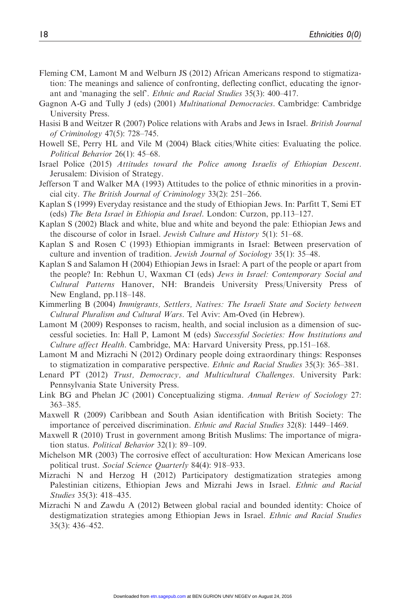- Fleming CM, Lamont M and Welburn JS (2012) African Americans respond to stigmatization: The meanings and salience of confronting, deflecting conflict, educating the ignorant and 'managing the self'. Ethnic and Racial Studies 35(3): 400–417.
- Gagnon A-G and Tully J (eds) (2001) Multinational Democracies. Cambridge: Cambridge University Press.
- Hasisi B and Weitzer R (2007) Police relations with Arabs and Jews in Israel. British Journal of Criminology 47(5): 728–745.
- Howell SE, Perry HL and Vile M (2004) Black cities/White cities: Evaluating the police. Political Behavior 26(1): 45–68.
- Israel Police (2015) Attitudes toward the Police among Israelis of Ethiopian Descent. Jerusalem: Division of Strategy.
- Jefferson T and Walker MA (1993) Attitudes to the police of ethnic minorities in a provincial city. The British Journal of Criminology 33(2): 251–266.
- Kaplan S (1999) Everyday resistance and the study of Ethiopian Jews. In: Parfitt T, Semi ET (eds) The Beta Israel in Ethiopia and Israel. London: Curzon, pp.113–127.
- Kaplan S (2002) Black and white, blue and white and beyond the pale: Ethiopian Jews and the discourse of color in Israel. Jewish Culture and History 5(1): 51–68.
- Kaplan S and Rosen C (1993) Ethiopian immigrants in Israel: Between preservation of culture and invention of tradition. Jewish Journal of Sociology 35(1): 35–48.
- Kaplan S and Salamon H (2004) Ethiopian Jews in Israel: A part of the people or apart from the people? In: Rebhun U, Waxman CI (eds) Jews in Israel: Contemporary Social and Cultural Patterns Hanover, NH: Brandeis University Press/University Press of New England, pp.118–148.
- Kimmerling B (2004) Immigrants, Settlers, Natives: The Israeli State and Society between Cultural Pluralism and Cultural Wars. Tel Aviv: Am-Oved (in Hebrew).
- Lamont M (2009) Responses to racism, health, and social inclusion as a dimension of successful societies. In: Hall P, Lamont M (eds) Successful Societies: How Institutions and Culture affect Health. Cambridge, MA: Harvard University Press, pp.151–168.
- Lamont M and Mizrachi N (2012) Ordinary people doing extraordinary things: Responses to stigmatization in comparative perspective. *Ethnic and Racial Studies* 35(3): 365–381.
- Lenard PT (2012) Trust, Democracy, and Multicultural Challenges. University Park: Pennsylvania State University Press.
- Link BG and Phelan JC (2001) Conceptualizing stigma. Annual Review of Sociology 27: 363–385.
- Maxwell R (2009) Caribbean and South Asian identification with British Society: The importance of perceived discrimination. Ethnic and Racial Studies 32(8): 1449–1469.
- Maxwell R (2010) Trust in government among British Muslims: The importance of migration status. Political Behavior 32(1): 89–109.
- Michelson MR (2003) The corrosive effect of acculturation: How Mexican Americans lose political trust. Social Science Quarterly 84(4): 918-933.
- Mizrachi N and Herzog H (2012) Participatory destigmatization strategies among Palestinian citizens, Ethiopian Jews and Mizrahi Jews in Israel. Ethnic and Racial Studies 35(3): 418–435.
- Mizrachi N and Zawdu A (2012) Between global racial and bounded identity: Choice of destigmatization strategies among Ethiopian Jews in Israel. Ethnic and Racial Studies 35(3): 436–452.